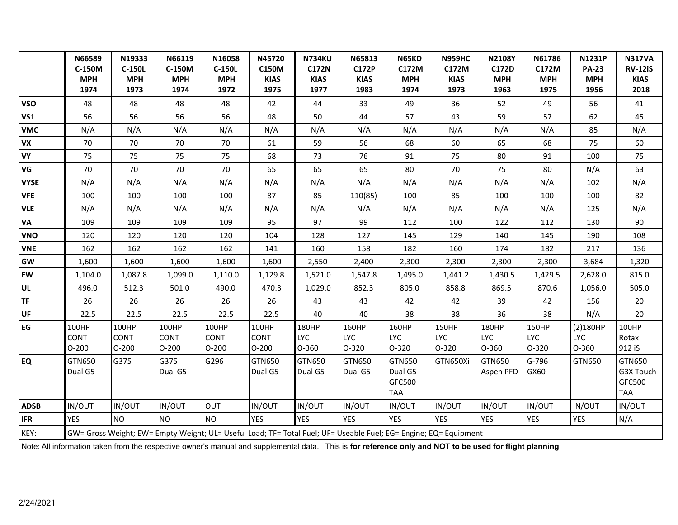|             | N66589<br>C-150M                | N19333<br><b>C-150L</b>                                                                                          | N66119<br>C-150M                | N16058<br>C-150L                | N45720<br>C150M                 | <b>N734KU</b><br><b>C172N</b>  | N65813<br><b>C172P</b>       | N65KD<br>C172M                            | <b>N959HC</b><br>C172M       | <b>N2108Y</b><br>C172D       | N61786<br>C172M              | <b>N1231P</b><br><b>PA-23</b>     | <b>N317VA</b><br><b>RV-12iS</b>             |
|-------------|---------------------------------|------------------------------------------------------------------------------------------------------------------|---------------------------------|---------------------------------|---------------------------------|--------------------------------|------------------------------|-------------------------------------------|------------------------------|------------------------------|------------------------------|-----------------------------------|---------------------------------------------|
|             | <b>MPH</b>                      | <b>MPH</b>                                                                                                       | <b>MPH</b>                      | <b>MPH</b>                      | <b>KIAS</b>                     | <b>KIAS</b>                    | <b>KIAS</b>                  | <b>MPH</b>                                | <b>KIAS</b>                  | <b>MPH</b>                   | <b>MPH</b>                   | <b>MPH</b>                        | <b>KIAS</b>                                 |
|             | 1974                            | 1973                                                                                                             | 1974                            | 1972                            | 1975                            | 1977                           | 1983                         | 1974                                      | 1973                         | 1963                         | 1975                         | 1956                              | 2018                                        |
| <b>VSO</b>  | 48                              | 48                                                                                                               | 48                              | 48                              | 42                              | 44                             | 33                           | 49                                        | 36                           | 52                           | 49                           | 56                                | 41                                          |
| <b>VS1</b>  | 56                              | 56                                                                                                               | 56                              | 56                              | 48                              | 50                             | 44                           | 57                                        | 43                           | 59                           | 57                           | 62                                | 45                                          |
| <b>VMC</b>  | N/A                             | N/A                                                                                                              | N/A                             | N/A                             | N/A                             | N/A                            | N/A                          | N/A                                       | N/A                          | N/A                          | N/A                          | 85                                | N/A                                         |
| <b>VX</b>   | 70                              | 70                                                                                                               | 70                              | 70                              | 61                              | 59                             | 56                           | 68                                        | 60                           | 65                           | 68                           | 75                                | 60                                          |
| <b>VY</b>   | 75                              | 75                                                                                                               | 75                              | 75                              | 68                              | 73                             | 76                           | 91                                        | 75                           | 80                           | 91                           | 100                               | 75                                          |
| VG          | 70                              | 70                                                                                                               | 70                              | 70                              | 65                              | 65                             | 65                           | 80                                        | 70                           | 75                           | 80                           | N/A                               | 63                                          |
| <b>VYSE</b> | N/A                             | N/A                                                                                                              | N/A                             | N/A                             | N/A                             | N/A                            | N/A                          | N/A                                       | N/A                          | N/A                          | N/A                          | 102                               | N/A                                         |
| <b>VFE</b>  | 100                             | 100                                                                                                              | 100                             | 100                             | 87                              | 85                             | 110(85)                      | 100                                       | 85                           | 100                          | 100                          | 100                               | 82                                          |
| <b>VLE</b>  | N/A                             | N/A                                                                                                              | N/A                             | N/A                             | N/A                             | N/A                            | N/A                          | N/A                                       | N/A                          | N/A                          | N/A                          | 125                               | N/A                                         |
| VA          | 109                             | 109                                                                                                              | 109                             | 109                             | 95                              | 97                             | 99                           | 112                                       | 100                          | 122                          | 112                          | 130                               | 90                                          |
| <b>VNO</b>  | 120                             | 120                                                                                                              | 120                             | 120                             | 104                             | 128                            | 127                          | 145                                       | 129                          | 140                          | 145                          | 190                               | 108                                         |
| <b>VNE</b>  | 162                             | 162                                                                                                              | 162                             | 162                             | 141                             | 160                            | 158                          | 182                                       | 160                          | 174                          | 182                          | 217                               | 136                                         |
| GW          | 1,600                           | 1,600                                                                                                            | 1,600                           | 1,600                           | 1,600                           | 2,550                          | 2,400                        | 2,300                                     | 2,300                        | 2,300                        | 2,300                        | 3,684                             | 1,320                                       |
| EW          | 1,104.0                         | 1,087.8                                                                                                          | 1,099.0                         | 1,110.0                         | 1,129.8                         | 1,521.0                        | 1,547.8                      | 1,495.0                                   | 1,441.2                      | 1,430.5                      | 1,429.5                      | 2,628.0                           | 815.0                                       |
| UL          | 496.0                           | 512.3                                                                                                            | 501.0                           | 490.0                           | 470.3                           | 1,029.0                        | 852.3                        | 805.0                                     | 858.8                        | 869.5                        | 870.6                        | 1,056.0                           | 505.0                                       |
| <b>TF</b>   | 26                              | 26                                                                                                               | 26                              | 26                              | 26                              | 43                             | 43                           | 42                                        | 42                           | 39                           | 42                           | 156                               | 20                                          |
| UF          | 22.5                            | 22.5                                                                                                             | 22.5                            | 22.5                            | 22.5                            | 40                             | 40                           | 38                                        | 38                           | 36                           | 38                           | N/A                               | 20                                          |
| EG          | 100HP<br><b>CONT</b><br>$O-200$ | 100HP<br><b>CONT</b><br>$O-200$                                                                                  | 100HP<br><b>CONT</b><br>$O-200$ | 100HP<br><b>CONT</b><br>$O-200$ | 100HP<br><b>CONT</b><br>$O-200$ | 180HP<br><b>LYC</b><br>$O-360$ | 160HP<br><b>LYC</b><br>0-320 | 160HP<br><b>LYC</b><br>0-320              | 150HP<br><b>LYC</b><br>0-320 | 180HP<br><b>LYC</b><br>O-360 | 150HP<br><b>LYC</b><br>0-320 | (2)180HP<br><b>LYC</b><br>$O-360$ | 100HP<br>Rotax<br>912 iS                    |
| <b>EQ</b>   | <b>GTN650</b><br>Dual G5        | G375                                                                                                             | G375<br>Dual G5                 | G296                            | GTN650<br>Dual G5               | GTN650<br>Dual G5              | GTN650<br>Dual G5            | GTN650<br>Dual G5<br>GFC500<br><b>TAA</b> | GTN650Xi                     | GTN650<br>Aspen PFD          | G-796<br>GX60                | GTN650                            | GTN650<br>G3X Touch<br>GFC500<br><b>TAA</b> |
| <b>ADSB</b> | IN/OUT                          | IN/OUT                                                                                                           | IN/OUT                          | OUT                             | IN/OUT                          | IN/OUT                         | IN/OUT                       | IN/OUT                                    | IN/OUT                       | IN/OUT                       | IN/OUT                       | IN/OUT                            | IN/OUT                                      |
| <b>IFR</b>  | <b>YES</b>                      | <b>NO</b>                                                                                                        | NO.                             | NO.                             | <b>YES</b>                      | <b>YES</b>                     | <b>YES</b>                   | <b>YES</b>                                | <b>YES</b>                   | <b>YES</b>                   | <b>YES</b>                   | <b>YES</b>                        | N/A                                         |
| KEY:        |                                 | GW= Gross Weight; EW= Empty Weight; UL= Useful Load; TF= Total Fuel; UF= Useable Fuel; EG= Engine; EQ= Equipment |                                 |                                 |                                 |                                |                              |                                           |                              |                              |                              |                                   |                                             |

Note: All information taken from the respective owner's manual and supplemental data. This is **for reference only and NOT to be used for flight planning**